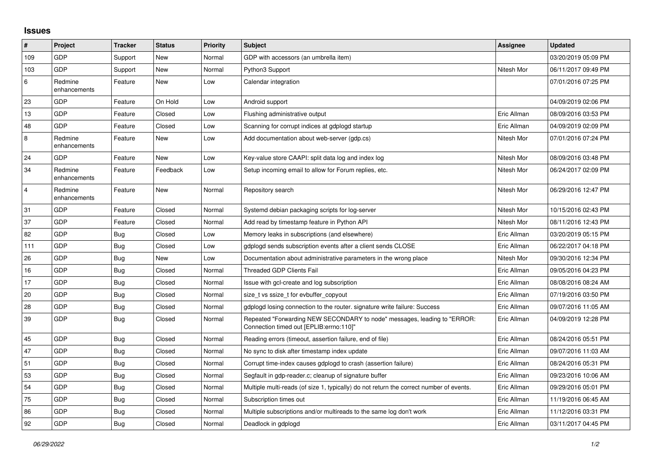## **Issues**

| $\pmb{\#}$     | Project                 | <b>Tracker</b> | <b>Status</b> | <b>Priority</b> | <b>Subject</b>                                                                                                      | <b>Assignee</b> | <b>Updated</b>      |
|----------------|-------------------------|----------------|---------------|-----------------|---------------------------------------------------------------------------------------------------------------------|-----------------|---------------------|
| 109            | <b>GDP</b>              | Support        | New           | Normal          | GDP with accessors (an umbrella item)                                                                               |                 | 03/20/2019 05:09 PM |
| 103            | GDP                     | Support        | New           | Normal          | Python3 Support                                                                                                     | Nitesh Mor      | 06/11/2017 09:49 PM |
| 6              | Redmine<br>enhancements | Feature        | New           | Low             | Calendar integration                                                                                                |                 | 07/01/2016 07:25 PM |
| 23             | GDP                     | Feature        | On Hold       | Low             | Android support                                                                                                     |                 | 04/09/2019 02:06 PM |
| 13             | <b>GDP</b>              | Feature        | Closed        | Low             | Flushing administrative output                                                                                      | Eric Allman     | 08/09/2016 03:53 PM |
| 48             | GDP                     | Feature        | Closed        | Low             | Scanning for corrupt indices at gdplogd startup                                                                     | Eric Allman     | 04/09/2019 02:09 PM |
| 8              | Redmine<br>enhancements | Feature        | New           | Low             | Add documentation about web-server (gdp.cs)                                                                         | Nitesh Mor      | 07/01/2016 07:24 PM |
| 24             | <b>GDP</b>              | Feature        | New           | Low             | Key-value store CAAPI: split data log and index log                                                                 | Nitesh Mor      | 08/09/2016 03:48 PM |
| 34             | Redmine<br>enhancements | Feature        | Feedback      | Low             | Setup incoming email to allow for Forum replies, etc.                                                               | Nitesh Mor      | 06/24/2017 02:09 PM |
| $\overline{4}$ | Redmine<br>enhancements | Feature        | New           | Normal          | Repository search                                                                                                   | Nitesh Mor      | 06/29/2016 12:47 PM |
| 31             | GDP                     | Feature        | Closed        | Normal          | Systemd debian packaging scripts for log-server                                                                     | Nitesh Mor      | 10/15/2016 02:43 PM |
| 37             | GDP                     | Feature        | Closed        | Normal          | Add read by timestamp feature in Python API                                                                         | Nitesh Mor      | 08/11/2016 12:43 PM |
| 82             | GDP                     | <b>Bug</b>     | Closed        | Low             | Memory leaks in subscriptions (and elsewhere)                                                                       | Eric Allman     | 03/20/2019 05:15 PM |
| 111            | GDP                     | Bug            | Closed        | Low             | adplogd sends subscription events after a client sends CLOSE                                                        | Eric Allman     | 06/22/2017 04:18 PM |
| 26             | <b>GDP</b>              | <b>Bug</b>     | New           | Low             | Documentation about administrative parameters in the wrong place                                                    | Nitesh Mor      | 09/30/2016 12:34 PM |
| 16             | GDP                     | <b>Bug</b>     | Closed        | Normal          | <b>Threaded GDP Clients Fail</b>                                                                                    | Eric Allman     | 09/05/2016 04:23 PM |
| 17             | <b>GDP</b>              | Bug            | Closed        | Normal          | Issue with gcl-create and log subscription                                                                          | Eric Allman     | 08/08/2016 08:24 AM |
| 20             | GDP                     | <b>Bug</b>     | Closed        | Normal          | size t vs ssize t for evbuffer copyout                                                                              | Eric Allman     | 07/19/2016 03:50 PM |
| 28             | GDP                     | Bug            | Closed        | Normal          | gdplogd losing connection to the router, signature write failure: Success                                           | Eric Allman     | 09/07/2016 11:05 AM |
| 39             | GDP                     | Bug            | Closed        | Normal          | Repeated "Forwarding NEW SECONDARY to node" messages, leading to "ERROR:<br>Connection timed out [EPLIB:errno:110]" | Eric Allman     | 04/09/2019 12:28 PM |
| 45             | GDP                     | <b>Bug</b>     | Closed        | Normal          | Reading errors (timeout, assertion failure, end of file)                                                            | Eric Allman     | 08/24/2016 05:51 PM |
| 47             | GDP                     | <b>Bug</b>     | Closed        | Normal          | No sync to disk after timestamp index update                                                                        | Eric Allman     | 09/07/2016 11:03 AM |
| 51             | GDP                     | <b>Bug</b>     | Closed        | Normal          | Corrupt time-index causes gdplogd to crash (assertion failure)                                                      | Eric Allman     | 08/24/2016 05:31 PM |
| 53             | GDP                     | <b>Bug</b>     | Closed        | Normal          | Segfault in gdp-reader.c; cleanup of signature buffer                                                               | Eric Allman     | 09/23/2016 10:06 AM |
| 54             | GDP                     | <b>Bug</b>     | Closed        | Normal          | Multiple multi-reads (of size 1, typically) do not return the correct number of events.                             | Eric Allman     | 09/29/2016 05:01 PM |
| 75             | <b>GDP</b>              | Bug            | Closed        | Normal          | Subscription times out                                                                                              | Eric Allman     | 11/19/2016 06:45 AM |
| 86             | GDP                     | <b>Bug</b>     | Closed        | Normal          | Multiple subscriptions and/or multireads to the same log don't work                                                 | Eric Allman     | 11/12/2016 03:31 PM |
| 92             | GDP                     | <b>Bug</b>     | Closed        | Normal          | Deadlock in gdplogd                                                                                                 | Eric Allman     | 03/11/2017 04:45 PM |